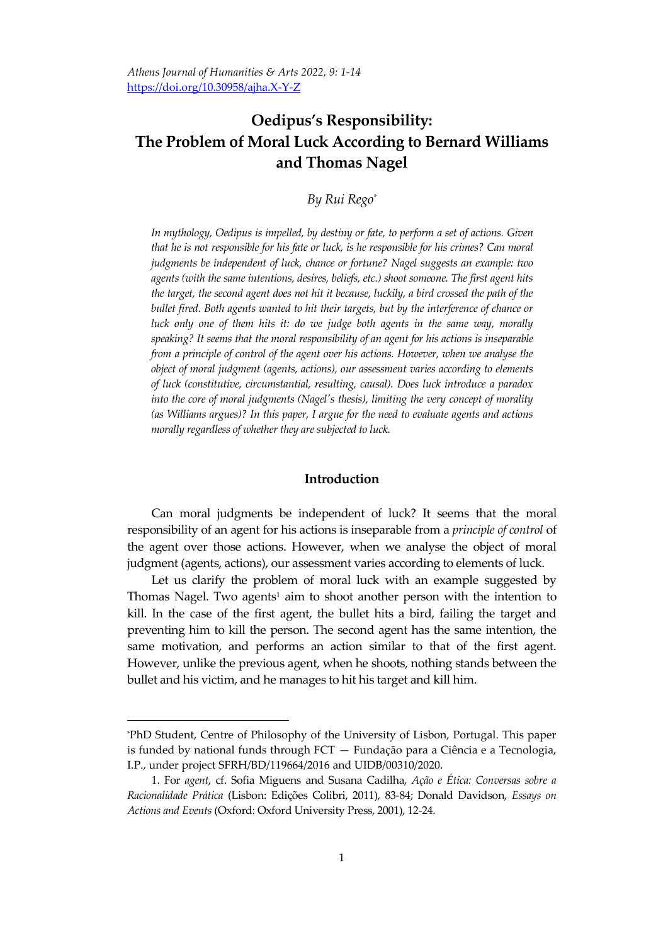# **Oedipus's Responsibility: The Problem of Moral Luck According to Bernard Williams and Thomas Nagel**

# *By Rui Rego\**

*In mythology, Oedipus is impelled, by destiny or fate, to perform a set of actions. Given that he is not responsible for his fate or luck, is he responsible for his crimes? Can moral judgments be independent of luck, chance or fortune? Nagel suggests an example: two agents (with the same intentions, desires, beliefs, etc.) shoot someone. The first agent hits the target, the second agent does not hit it because, luckily, a bird crossed the path of the bullet fired. Both agents wanted to hit their targets, but by the interference of chance or luck only one of them hits it: do we judge both agents in the same way, morally speaking? It seems that the moral responsibility of an agent for his actions is inseparable from a principle of control of the agent over his actions. However, when we analyse the object of moral judgment (agents, actions), our assessment varies according to elements of luck (constitutive, circumstantial, resulting, causal). Does luck introduce a paradox into the core of moral judgments (Nagel's thesis), limiting the very concept of morality (as Williams argues)? In this paper, I argue for the need to evaluate agents and actions morally regardless of whether they are subjected to luck.*

# **Introduction**

Can moral judgments be independent of luck? It seems that the moral responsibility of an agent for his actions is inseparable from a *principle of control* of the agent over those actions. However, when we analyse the object of moral judgment (agents, actions), our assessment varies according to elements of luck.

Let us clarify the problem of moral luck with an example suggested by Thomas Nagel. Two agents<sup>1</sup> aim to shoot another person with the intention to kill. In the case of the first agent, the bullet hits a bird, failing the target and preventing him to kill the person. The second agent has the same intention, the same motivation, and performs an action similar to that of the first agent. However, unlike the previous agent, when he shoots, nothing stands between the bullet and his victim, and he manages to hit his target and kill him.

<sup>\*</sup>PhD Student, Centre of Philosophy of the University of Lisbon, Portugal. This paper is funded by national funds through FCT — Fundação para a Ciência e a Tecnologia, I.P., under project SFRH/BD/119664/2016 and UIDB/00310/2020.

<sup>1.</sup> For *agent*, cf. Sofia Miguens and Susana Cadilha, *Ação e Ética: Conversas sobre a Racionalidade Prática* (Lisbon: Edições Colibri, 2011), 83-84; Donald Davidson, *Essays on Actions and Events* (Oxford: Oxford University Press, 2001), 12-24.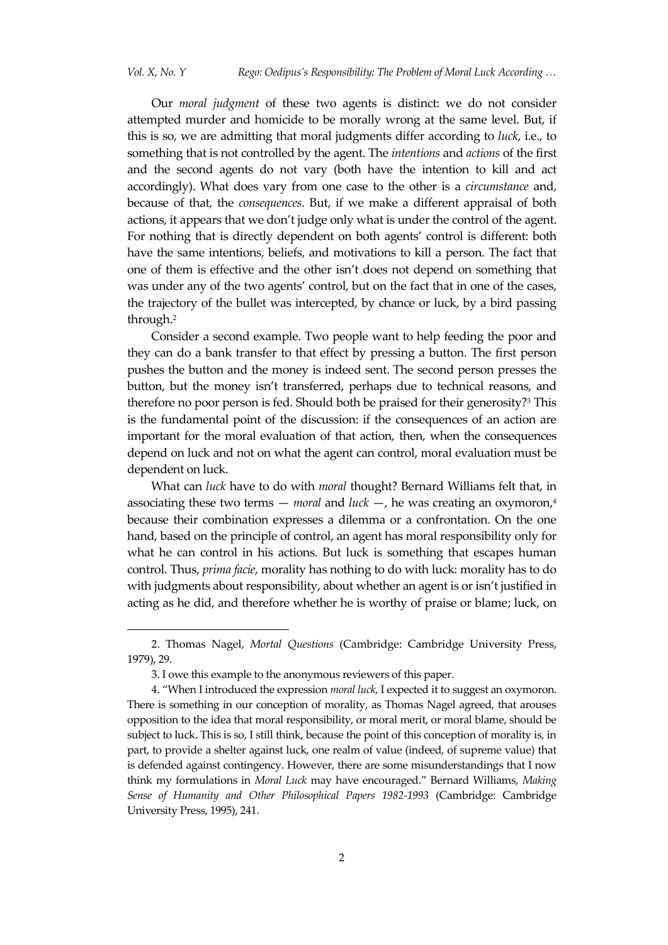$\overline{a}$ 

Our *moral judgment* of these two agents is distinct: we do not consider attempted murder and homicide to be morally wrong at the same level. But, if this is so, we are admitting that moral judgments differ according to *luck*, i.e., to something that is not controlled by the agent. The *intentions* and *actions* of the first and the second agents do not vary (both have the intention to kill and act accordingly). What does vary from one case to the other is a *circumstance* and, because of that, the *consequences*. But, if we make a different appraisal of both actions, it appears that we don't judge only what is under the control of the agent. For nothing that is directly dependent on both agents' control is different: both have the same intentions, beliefs, and motivations to kill a person. The fact that one of them is effective and the other isn't does not depend on something that was under any of the two agents' control, but on the fact that in one of the cases, the trajectory of the bullet was intercepted, by chance or luck, by a bird passing through.<sup>2</sup>

Consider a second example. Two people want to help feeding the poor and they can do a bank transfer to that effect by pressing a button. The first person pushes the button and the money is indeed sent. The second person presses the button, but the money isn't transferred, perhaps due to technical reasons, and therefore no poor person is fed. Should both be praised for their generosity?<sup>3</sup> This is the fundamental point of the discussion: if the consequences of an action are important for the moral evaluation of that action, then, when the consequences depend on luck and not on what the agent can control, moral evaluation must be dependent on luck.

What can *luck* have to do with *moral* thought? Bernard Williams felt that, in associating these two terms — *moral* and *luck* —, he was creating an oxymoron, 4 because their combination expresses a dilemma or a confrontation. On the one hand, based on the principle of control, an agent has moral responsibility only for what he can control in his actions. But luck is something that escapes human control. Thus, *prima facie*, morality has nothing to do with luck: morality has to do with judgments about responsibility, about whether an agent is or isn't justified in acting as he did, and therefore whether he is worthy of praise or blame; luck, on

<sup>2.</sup> Thomas Nagel, *Mortal Questions* (Cambridge: Cambridge University Press, 1979), 29.

<sup>3.</sup> I owe this example to the anonymous reviewers of this paper.

<sup>4.</sup> "When I introduced the expression *moral luck*, I expected it to suggest an oxymoron. There is something in our conception of morality, as Thomas Nagel agreed, that arouses opposition to the idea that moral responsibility, or moral merit, or moral blame, should be subject to luck. This is so, I still think, because the point of this conception of morality is, in part, to provide a shelter against luck, one realm of value (indeed, of supreme value) that is defended against contingency. However, there are some misunderstandings that I now think my formulations in *Moral Luck* may have encouraged." Bernard Williams, *Making Sense of Humanity and Other Philosophical Papers 1982-1993* (Cambridge: Cambridge University Press, 1995), 241.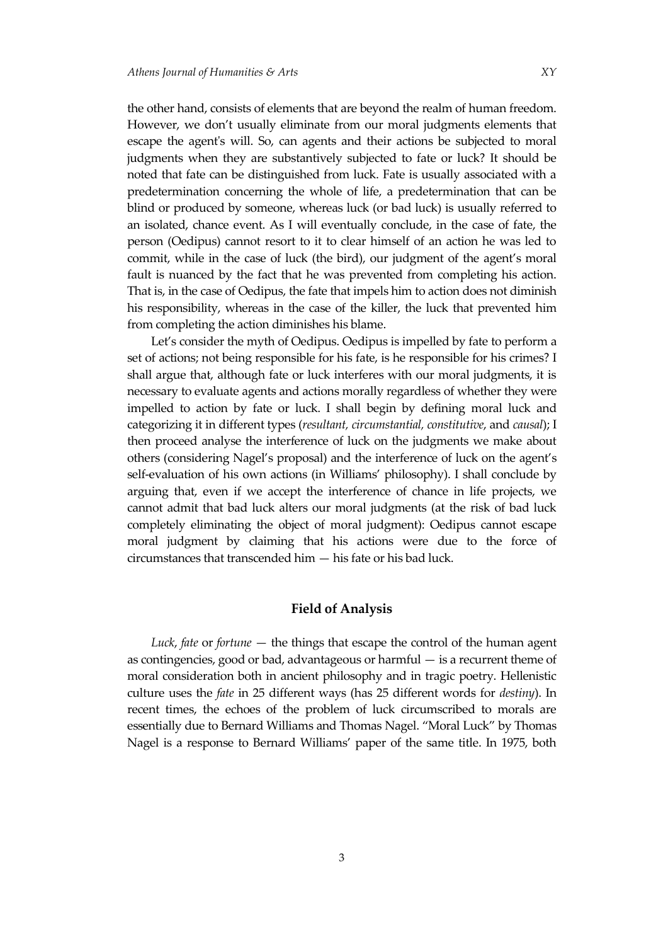the other hand, consists of elements that are beyond the realm of human freedom. However, we don't usually eliminate from our moral judgments elements that escape the agent's will. So, can agents and their actions be subjected to moral judgments when they are substantively subjected to fate or luck? It should be noted that fate can be distinguished from luck. Fate is usually associated with a predetermination concerning the whole of life, a predetermination that can be blind or produced by someone, whereas luck (or bad luck) is usually referred to an isolated, chance event. As I will eventually conclude, in the case of fate, the person (Oedipus) cannot resort to it to clear himself of an action he was led to commit, while in the case of luck (the bird), our judgment of the agent's moral fault is nuanced by the fact that he was prevented from completing his action. That is, in the case of Oedipus, the fate that impels him to action does not diminish his responsibility, whereas in the case of the killer, the luck that prevented him from completing the action diminishes his blame.

Let's consider the myth of Oedipus. Oedipus is impelled by fate to perform a set of actions; not being responsible for his fate, is he responsible for his crimes? I shall argue that, although fate or luck interferes with our moral judgments, it is necessary to evaluate agents and actions morally regardless of whether they were impelled to action by fate or luck. I shall begin by defining moral luck and categorizing it in different types (*resultant, circumstantial, constitutive*, and *causal*); I then proceed analyse the interference of luck on the judgments we make about others (considering Nagel's proposal) and the interference of luck on the agent's self-evaluation of his own actions (in Williams' philosophy). I shall conclude by arguing that, even if we accept the interference of chance in life projects, we cannot admit that bad luck alters our moral judgments (at the risk of bad luck completely eliminating the object of moral judgment): Oedipus cannot escape moral judgment by claiming that his actions were due to the force of circumstances that transcended him — his fate or his bad luck.

# **Field of Analysis**

*Luck*, *fate* or *fortune* — the things that escape the control of the human agent as contingencies, good or bad, advantageous or harmful — is a recurrent theme of moral consideration both in ancient philosophy and in tragic poetry. Hellenistic culture uses the *fate* in 25 different ways (has 25 different words for *destiny*). In recent times, the echoes of the problem of luck circumscribed to morals are essentially due to Bernard Williams and Thomas Nagel. "Moral Luck" by Thomas Nagel is a response to Bernard Williams' paper of the same title. In 1975, both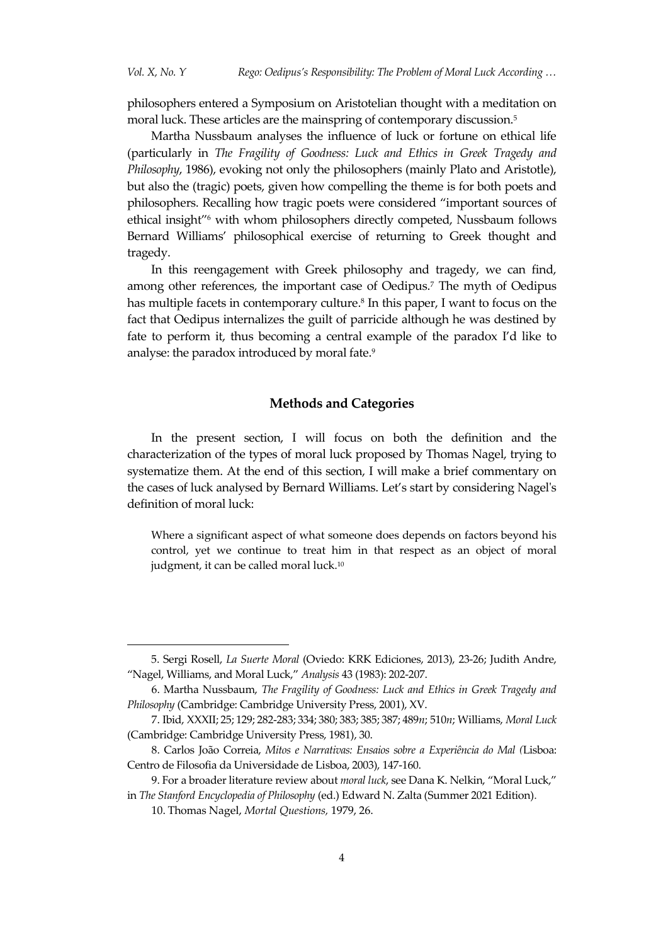philosophers entered a Symposium on Aristotelian thought with a meditation on moral luck. These articles are the mainspring of contemporary discussion.<sup>5</sup>

Martha Nussbaum analyses the influence of luck or fortune on ethical life (particularly in *The Fragility of Goodness: Luck and Ethics in Greek Tragedy and Philosophy*, 1986), evoking not only the philosophers (mainly Plato and Aristotle), but also the (tragic) poets, given how compelling the theme is for both poets and philosophers. Recalling how tragic poets were considered "important sources of ethical insight"<sup>6</sup> with whom philosophers directly competed, Nussbaum follows Bernard Williams' philosophical exercise of returning to Greek thought and tragedy.

In this reengagement with Greek philosophy and tragedy, we can find, among other references, the important case of Oedipus.<sup>7</sup> The myth of Oedipus has multiple facets in contemporary culture. 8 In this paper, I want to focus on the fact that Oedipus internalizes the guilt of parricide although he was destined by fate to perform it, thus becoming a central example of the paradox I'd like to analyse: the paradox introduced by moral fate.<sup>9</sup>

#### **Methods and Categories**

In the present section, I will focus on both the definition and the characterization of the types of moral luck proposed by Thomas Nagel, trying to systematize them. At the end of this section, I will make a brief commentary on the cases of luck analysed by Bernard Williams. Let's start by considering Nagel's definition of moral luck:

Where a significant aspect of what someone does depends on factors beyond his control, yet we continue to treat him in that respect as an object of moral judgment, it can be called moral luck. 10

<sup>5.</sup> Sergi Rosell, *La Suerte Moral* (Oviedo: KRK Ediciones, 2013), 23-26; Judith Andre, "Nagel, Williams, and Moral Luck," *Analysis* 43 (1983): 202-207.

<sup>6.</sup> Martha Nussbaum, *The Fragility of Goodness: Luck and Ethics in Greek Tragedy and Philosophy* (Cambridge: Cambridge University Press, 2001), XV.

<sup>7.</sup> Ibid, XXXII; 25; 129; 282-283; 334; 380; 383; 385; 387; 489*n*; 510*n*; Williams, *Moral Luck* (Cambridge: Cambridge University Press, 1981), 30.

<sup>8.</sup> Carlos João Correia, *Mitos e Narrativas: Ensaios sobre a Experiência do Mal (*Lisboa: Centro de Filosofia da Universidade de Lisboa, 2003), 147-160.

<sup>9.</sup> For a broader literature review about *moral luck*, see Dana K. Nelkin, "Moral Luck," in *The Stanford Encyclopedia of Philosophy* (ed.) Edward N. Zalta (Summer 2021 Edition).

<sup>10.</sup> Thomas Nagel, *Mortal Questions,* 1979, 26.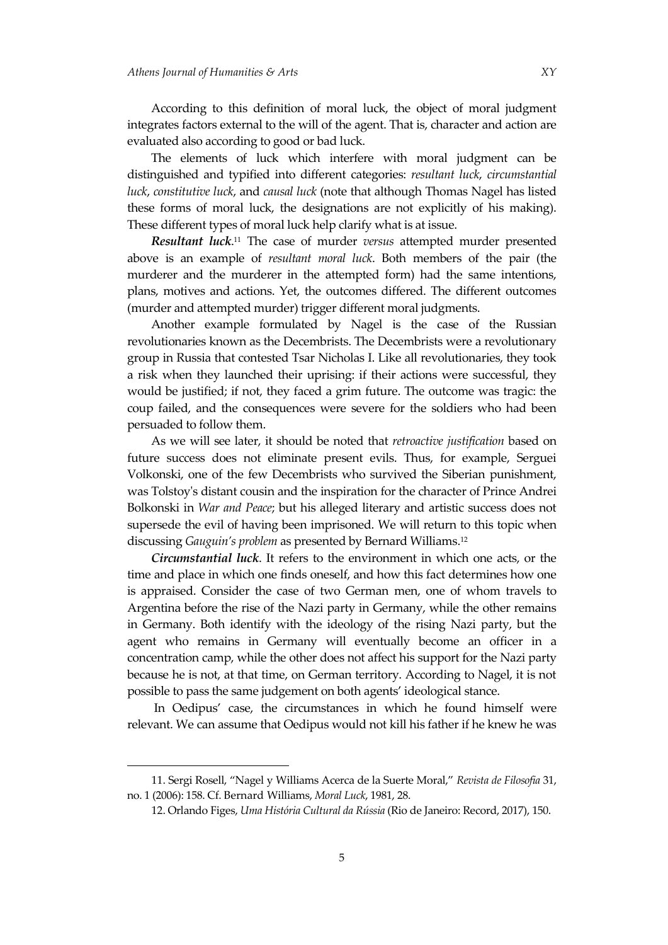According to this definition of moral luck, the object of moral judgment integrates factors external to the will of the agent. That is, character and action are evaluated also according to good or bad luck.

The elements of luck which interfere with moral judgment can be distinguished and typified into different categories: *resultant luck*, *circumstantial luck*, *constitutive luck*, and *causal luck* (note that although Thomas Nagel has listed these forms of moral luck, the designations are not explicitly of his making). These different types of moral luck help clarify what is at issue.

*Resultant luck*. <sup>11</sup> The case of murder *versus* attempted murder presented above is an example of *resultant moral luck*. Both members of the pair (the murderer and the murderer in the attempted form) had the same intentions, plans, motives and actions. Yet, the outcomes differed. The different outcomes (murder and attempted murder) trigger different moral judgments.

Another example formulated by Nagel is the case of the Russian revolutionaries known as the Decembrists. The Decembrists were a revolutionary group in Russia that contested Tsar Nicholas I. Like all revolutionaries, they took a risk when they launched their uprising: if their actions were successful, they would be justified; if not, they faced a grim future. The outcome was tragic: the coup failed, and the consequences were severe for the soldiers who had been persuaded to follow them.

As we will see later, it should be noted that *retroactive justification* based on future success does not eliminate present evils. Thus, for example, Serguei Volkonski, one of the few Decembrists who survived the Siberian punishment, was Tolstoy's distant cousin and the inspiration for the character of Prince Andrei Bolkonski in *War and Peace*; but his alleged literary and artistic success does not supersede the evil of having been imprisoned. We will return to this topic when discussing *Gauguin's problem* as presented by Bernard Williams.<sup>12</sup>

*Circumstantial luck*. It refers to the environment in which one acts, or the time and place in which one finds oneself, and how this fact determines how one is appraised. Consider the case of two German men, one of whom travels to Argentina before the rise of the Nazi party in Germany, while the other remains in Germany. Both identify with the ideology of the rising Nazi party, but the agent who remains in Germany will eventually become an officer in a concentration camp, while the other does not affect his support for the Nazi party because he is not, at that time, on German territory. According to Nagel, it is not possible to pass the same judgement on both agents' ideological stance.

In Oedipus' case, the circumstances in which he found himself were relevant. We can assume that Oedipus would not kill his father if he knew he was

<sup>11</sup>. Sergi Rosell, "Nagel y Williams Acerca de la Suerte Moral," *Revista de Filosofia* 31, no. 1 (2006): 158. Cf. Bernard Williams, *Moral Luck*, 1981, 28.

<sup>12.</sup> Orlando Figes, *Uma História Cultural da Rússia* (Rio de Janeiro: Record, 2017), 150.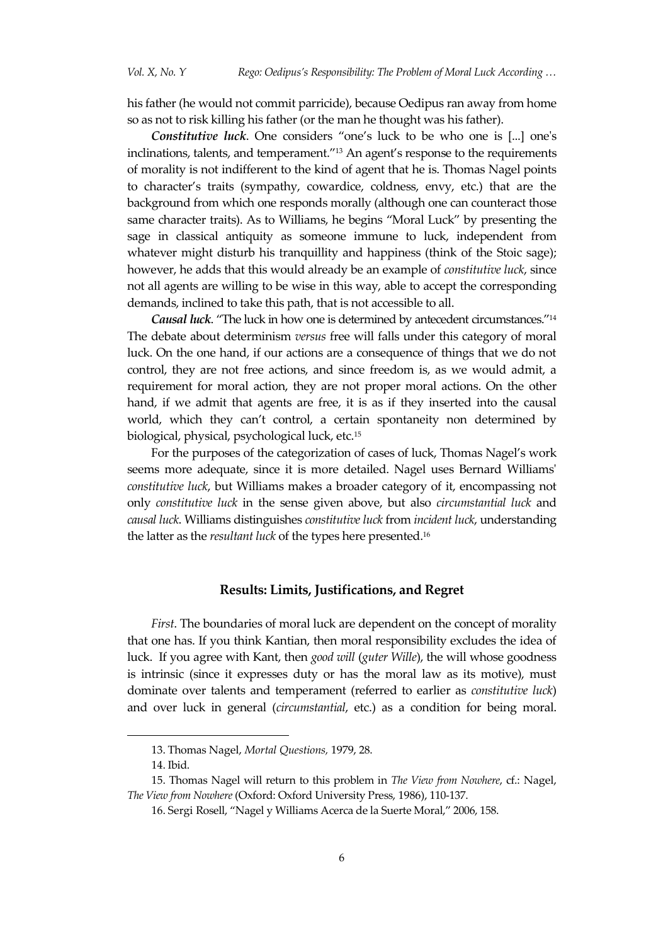his father (he would not commit parricide), because Oedipus ran away from home so as not to risk killing his father (or the man he thought was his father).

*Constitutive luck*. One considers "one's luck to be who one is [...] one's inclinations, talents, and temperament."<sup>13</sup> An agent's response to the requirements of morality is not indifferent to the kind of agent that he is. Thomas Nagel points to character's traits (sympathy, cowardice, coldness, envy, etc.) that are the background from which one responds morally (although one can counteract those same character traits). As to Williams, he begins "Moral Luck" by presenting the sage in classical antiquity as someone immune to luck, independent from whatever might disturb his tranquillity and happiness (think of the Stoic sage); however, he adds that this would already be an example of *constitutive luck*, since not all agents are willing to be wise in this way, able to accept the corresponding demands, inclined to take this path, that is not accessible to all.

*Causal luck*. "The luck in how one is determined by antecedent circumstances."<sup>14</sup> The debate about determinism *versus* free will falls under this category of moral luck. On the one hand, if our actions are a consequence of things that we do not control, they are not free actions, and since freedom is, as we would admit, a requirement for moral action, they are not proper moral actions. On the other hand, if we admit that agents are free, it is as if they inserted into the causal world, which they can't control, a certain spontaneity non determined by biological, physical, psychological luck, etc.<sup>15</sup>

For the purposes of the categorization of cases of luck, Thomas Nagel's work seems more adequate, since it is more detailed. Nagel uses Bernard Williams' *constitutive luck*, but Williams makes a broader category of it, encompassing not only *constitutive luck* in the sense given above, but also *circumstantial luck* and *causal luck*. Williams distinguishes *constitutive luck* from *incident luck*, understanding the latter as the *resultant luck* of the types here presented.<sup>16</sup>

#### **Results: Limits, Justifications, and Regret**

*First*. The boundaries of moral luck are dependent on the concept of morality that one has. If you think Kantian, then moral responsibility excludes the idea of luck. If you agree with Kant, then *good will* (*guter Wille*), the will whose goodness is intrinsic (since it expresses duty or has the moral law as its motive), must dominate over talents and temperament (referred to earlier as *constitutive luck*) and over luck in general (*circumstantial*, etc.) as a condition for being moral.

<sup>13.</sup> Thomas Nagel, *Mortal Questions,* 1979, 28.

<sup>14.</sup> Ibid.

<sup>15.</sup> Thomas Nagel will return to this problem in *The View from Nowhere*, cf.: Nagel, *The View from Nowhere* (Oxford: Oxford University Press, 1986), 110-137.

<sup>16.</sup> Sergi Rosell, "Nagel y Williams Acerca de la Suerte Moral," 2006, 158.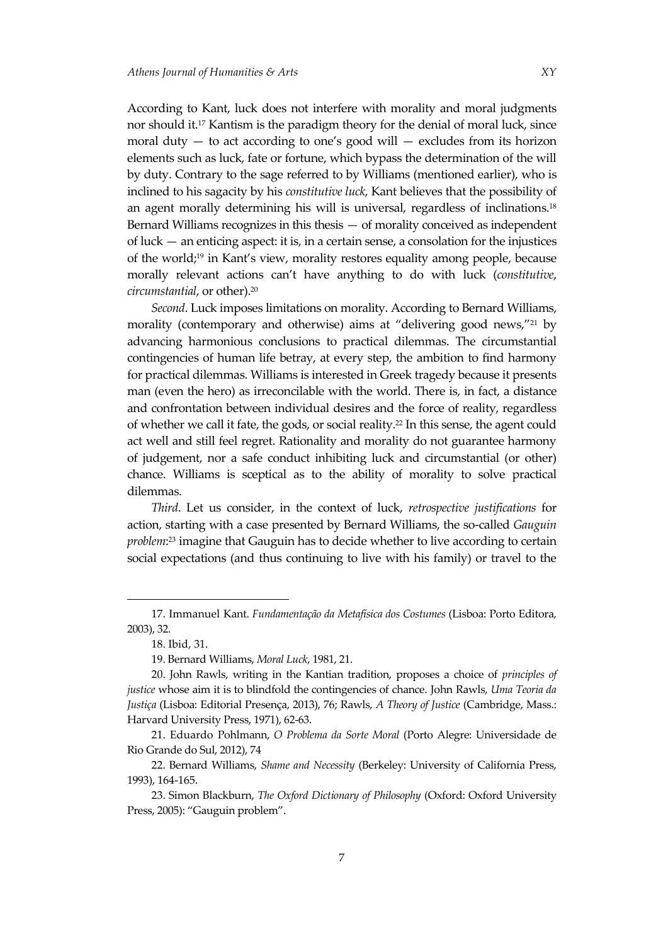According to Kant, luck does not interfere with morality and moral judgments nor should it.<sup>17</sup> Kantism is the paradigm theory for the denial of moral luck, since moral duty  $-$  to act according to one's good will  $-$  excludes from its horizon elements such as luck, fate or fortune, which bypass the determination of the will by duty. Contrary to the sage referred to by Williams (mentioned earlier), who is inclined to his sagacity by his *constitutive luck*, Kant believes that the possibility of an agent morally determining his will is universal, regardless of inclinations. 18 Bernard Williams recognizes in this thesis — of morality conceived as independent of luck — an enticing aspect: it is, in a certain sense, a consolation for the injustices of the world; <sup>19</sup> in Kant's view, morality restores equality among people, because morally relevant actions can't have anything to do with luck (*constitutive*, *circumstantial*, or other).<sup>20</sup>

*Second*. Luck imposes limitations on morality. According to Bernard Williams, morality (contemporary and otherwise) aims at "delivering good news,"<sup>21</sup> by advancing harmonious conclusions to practical dilemmas. The circumstantial contingencies of human life betray, at every step, the ambition to find harmony for practical dilemmas. Williams is interested in Greek tragedy because it presents man (even the hero) as irreconcilable with the world. There is, in fact, a distance and confrontation between individual desires and the force of reality, regardless of whether we call it fate, the gods, or social reality.<sup>22</sup> In this sense, the agent could act well and still feel regret. Rationality and morality do not guarantee harmony of judgement, nor a safe conduct inhibiting luck and circumstantial (or other) chance. Williams is sceptical as to the ability of morality to solve practical dilemmas.

*Third*. Let us consider, in the context of luck, *retrospective justifications* for action, starting with a case presented by Bernard Williams, the so-called *Gauguin problem*: <sup>23</sup> imagine that Gauguin has to decide whether to live according to certain social expectations (and thus continuing to live with his family) or travel to the

<sup>17.</sup> Immanuel Kant. *Fundamentação da Metafísica dos Costumes* (Lisboa: Porto Editora, 2003), 32.

<sup>18.</sup> Ibid, 31.

<sup>19.</sup> Bernard Williams, *Moral Luck*, 1981, 21.

<sup>20.</sup> John Rawls, writing in the Kantian tradition, proposes a choice of *principles of justice* whose aim it is to blindfold the contingencies of chance. John Rawls, *Uma Teoria da Justiça* (Lisboa: Editorial Presença, 2013), 76; Rawls, *A Theory of Justice* (Cambridge, Mass.: Harvard University Press, 1971), 62-63.

<sup>21.</sup> Eduardo Pohlmann, *O Problema da Sorte Moral* (Porto Alegre: Universidade de Rio Grande do Sul, 2012), 74

<sup>22.</sup> Bernard Williams, *Shame and Necessity* (Berkeley: University of California Press, 1993), 164-165.

<sup>23.</sup> Simon Blackburn, *The Oxford Dictionary of Philosophy* (Oxford: Oxford University Press, 2005): "Gauguin problem".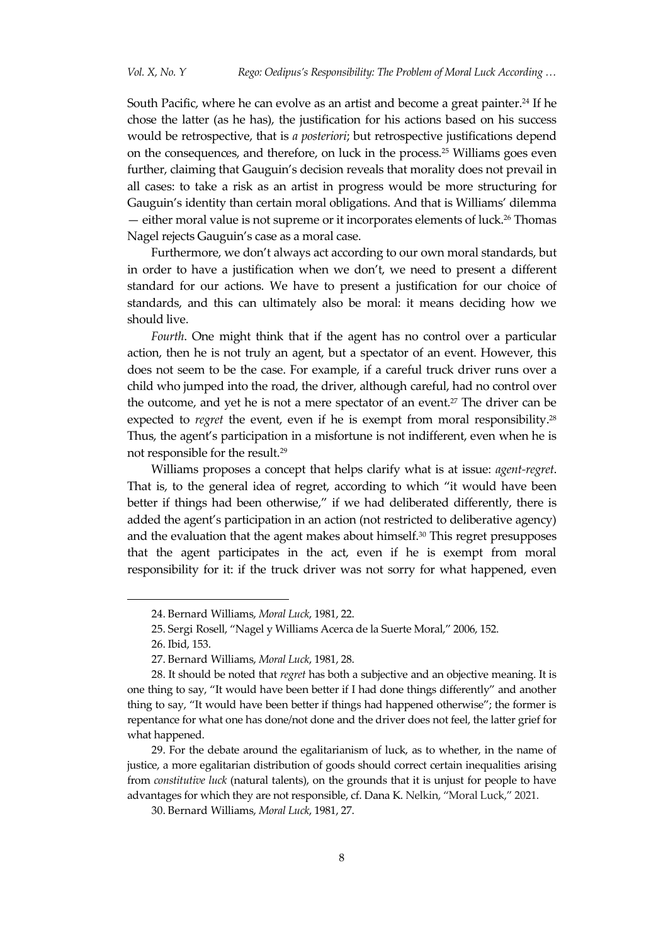South Pacific, where he can evolve as an artist and become a great painter.<sup>24</sup> If he chose the latter (as he has), the justification for his actions based on his success would be retrospective, that is *a posteriori*; but retrospective justifications depend on the consequences, and therefore, on luck in the process.<sup>25</sup> Williams goes even further, claiming that Gauguin's decision reveals that morality does not prevail in all cases: to take a risk as an artist in progress would be more structuring for Gauguin's identity than certain moral obligations. And that is Williams' dilemma — either moral value is not supreme or it incorporates elements of luck.<sup>26</sup> Thomas Nagel rejects Gauguin's case as a moral case.

Furthermore, we don't always act according to our own moral standards, but in order to have a justification when we don't, we need to present a different standard for our actions. We have to present a justification for our choice of standards, and this can ultimately also be moral: it means deciding how we should live.

*Fourth*. One might think that if the agent has no control over a particular action, then he is not truly an agent, but a spectator of an event. However, this does not seem to be the case. For example, if a careful truck driver runs over a child who jumped into the road, the driver, although careful, had no control over the outcome, and yet he is not a mere spectator of an event.<sup>27</sup> The driver can be expected to *regret* the event, even if he is exempt from moral responsibility. 28 Thus, the agent's participation in a misfortune is not indifferent, even when he is not responsible for the result.<sup>29</sup>

Williams proposes a concept that helps clarify what is at issue: *agent-regret*. That is, to the general idea of regret, according to which "it would have been better if things had been otherwise," if we had deliberated differently, there is added the agent's participation in an action (not restricted to deliberative agency) and the evaluation that the agent makes about himself. $30$  This regret presupposes that the agent participates in the act, even if he is exempt from moral responsibility for it: if the truck driver was not sorry for what happened, even

<sup>24.</sup> Bernard Williams, *Moral Luck*, 1981, 22.

<sup>25.</sup> Sergi Rosell, "Nagel y Williams Acerca de la Suerte Moral," 2006, 152.

<sup>26.</sup> Ibid, 153.

<sup>27.</sup> Bernard Williams, *Moral Luck*, 1981, 28.

<sup>28.</sup> It should be noted that *regret* has both a subjective and an objective meaning. It is one thing to say, "It would have been better if I had done things differently" and another thing to say, "It would have been better if things had happened otherwise"; the former is repentance for what one has done/not done and the driver does not feel, the latter grief for what happened.

<sup>29.</sup> For the debate around the egalitarianism of luck, as to whether, in the name of justice, a more egalitarian distribution of goods should correct certain inequalities arising from *constitutive luck* (natural talents), on the grounds that it is unjust for people to have advantages for which they are not responsible, cf. Dana K. Nelkin, "Moral Luck," 2021.

<sup>30.</sup> Bernard Williams, *Moral Luck*, 1981, 27.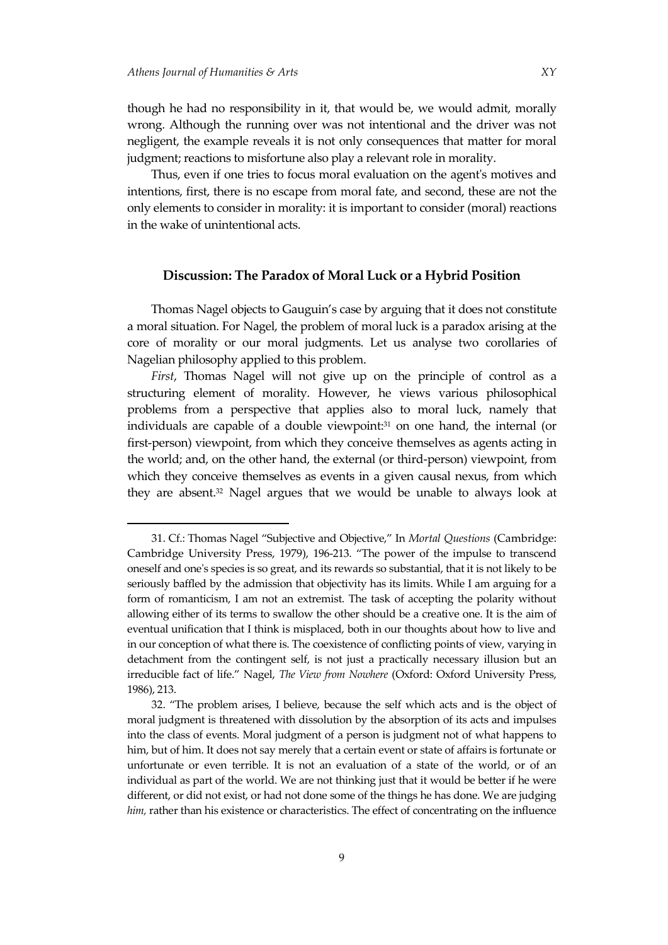$\overline{a}$ 

though he had no responsibility in it, that would be, we would admit, morally wrong. Although the running over was not intentional and the driver was not negligent, the example reveals it is not only consequences that matter for moral judgment; reactions to misfortune also play a relevant role in morality.

Thus, even if one tries to focus moral evaluation on the agent's motives and intentions, first, there is no escape from moral fate, and second, these are not the only elements to consider in morality: it is important to consider (moral) reactions in the wake of unintentional acts.

# **Discussion: The Paradox of Moral Luck or a Hybrid Position**

Thomas Nagel objects to Gauguin's case by arguing that it does not constitute a moral situation. For Nagel, the problem of moral luck is a paradox arising at the core of morality or our moral judgments. Let us analyse two corollaries of Nagelian philosophy applied to this problem.

*First*, Thomas Nagel will not give up on the principle of control as a structuring element of morality. However, he views various philosophical problems from a perspective that applies also to moral luck, namely that individuals are capable of a double viewpoint: <sup>31</sup> on one hand, the internal (or first-person) viewpoint, from which they conceive themselves as agents acting in the world; and, on the other hand, the external (or third-person) viewpoint, from which they conceive themselves as events in a given causal nexus, from which they are absent.<sup>32</sup> Nagel argues that we would be unable to always look at

<sup>31.</sup> Cf.: Thomas Nagel "Subjective and Objective," In *Mortal Questions* (Cambridge: Cambridge University Press, 1979), 196-213. "The power of the impulse to transcend oneself and one's species is so great, and its rewards so substantial, that it is not likely to be seriously baffled by the admission that objectivity has its limits. While I am arguing for a form of romanticism, I am not an extremist. The task of accepting the polarity without allowing either of its terms to swallow the other should be a creative one. It is the aim of eventual unification that I think is misplaced, both in our thoughts about how to live and in our conception of what there is. The coexistence of conflicting points of view, varying in detachment from the contingent self, is not just a practically necessary illusion but an irreducible fact of life." Nagel, *The View from Nowhere* (Oxford: Oxford University Press, 1986), 213.

<sup>32</sup>. "The problem arises, I believe, because the self which acts and is the object of moral judgment is threatened with dissolution by the absorption of its acts and impulses into the class of events. Moral judgment of a person is judgment not of what happens to him, but of him. It does not say merely that a certain event or state of affairs is fortunate or unfortunate or even terrible. It is not an evaluation of a state of the world, or of an individual as part of the world. We are not thinking just that it would be better if he were different, or did not exist, or had not done some of the things he has done. We are judging *him,* rather than his existence or characteristics. The effect of concentrating on the influence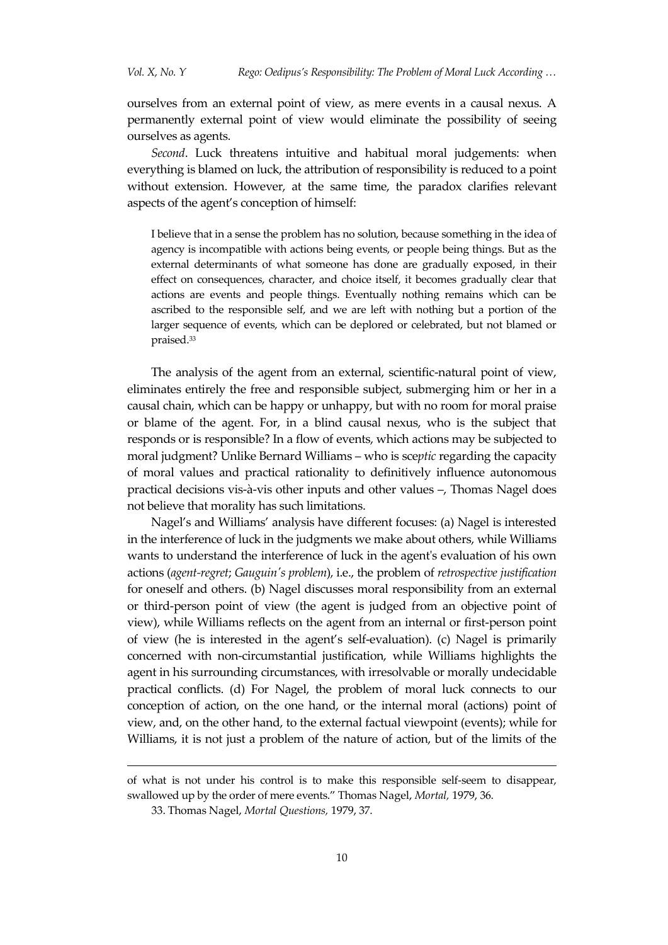ourselves from an external point of view, as mere events in a causal nexus. A permanently external point of view would eliminate the possibility of seeing ourselves as agents.

*Second*. Luck threatens intuitive and habitual moral judgements: when everything is blamed on luck, the attribution of responsibility is reduced to a point without extension. However, at the same time, the paradox clarifies relevant aspects of the agent's conception of himself:

I believe that in a sense the problem has no solution, because something in the idea of agency is incompatible with actions being events, or people being things. But as the external determinants of what someone has done are gradually exposed, in their effect on consequences, character, and choice itself, it becomes gradually clear that actions are events and people things. Eventually nothing remains which can be ascribed to the responsible self, and we are left with nothing but a portion of the larger sequence of events, which can be deplored or celebrated, but not blamed or praised.<sup>33</sup>

The analysis of the agent from an external, scientific-natural point of view, eliminates entirely the free and responsible subject, submerging him or her in a causal chain, which can be happy or unhappy, but with no room for moral praise or blame of the agent. For, in a blind causal nexus, who is the subject that responds or is responsible? In a flow of events, which actions may be subjected to moral judgment? Unlike Bernard Williams – who is sce*ptic* regarding the capacity of moral values and practical rationality to definitively influence autonomous practical decisions vis-à-vis other inputs and other values –, Thomas Nagel does not believe that morality has such limitations.

Nagel's and Williams' analysis have different focuses: (a) Nagel is interested in the interference of luck in the judgments we make about others, while Williams wants to understand the interference of luck in the agent's evaluation of his own actions (*agent-regret*; *Gauguin's problem*), i.e., the problem of *retrospective justification* for oneself and others. (b) Nagel discusses moral responsibility from an external or third-person point of view (the agent is judged from an objective point of view), while Williams reflects on the agent from an internal or first-person point of view (he is interested in the agent's self-evaluation). (c) Nagel is primarily concerned with non-circumstantial justification, while Williams highlights the agent in his surrounding circumstances, with irresolvable or morally undecidable practical conflicts. (d) For Nagel, the problem of moral luck connects to our conception of action, on the one hand, or the internal moral (actions) point of view, and, on the other hand, to the external factual viewpoint (events); while for Williams, it is not just a problem of the nature of action, but of the limits of the

<u>.</u>

of what is not under his control is to make this responsible self-seem to disappear, swallowed up by the order of mere events." Thomas Nagel, *Mortal,* 1979, 36.

<sup>33.</sup> Thomas Nagel, *Mortal Questions,* 1979, 37.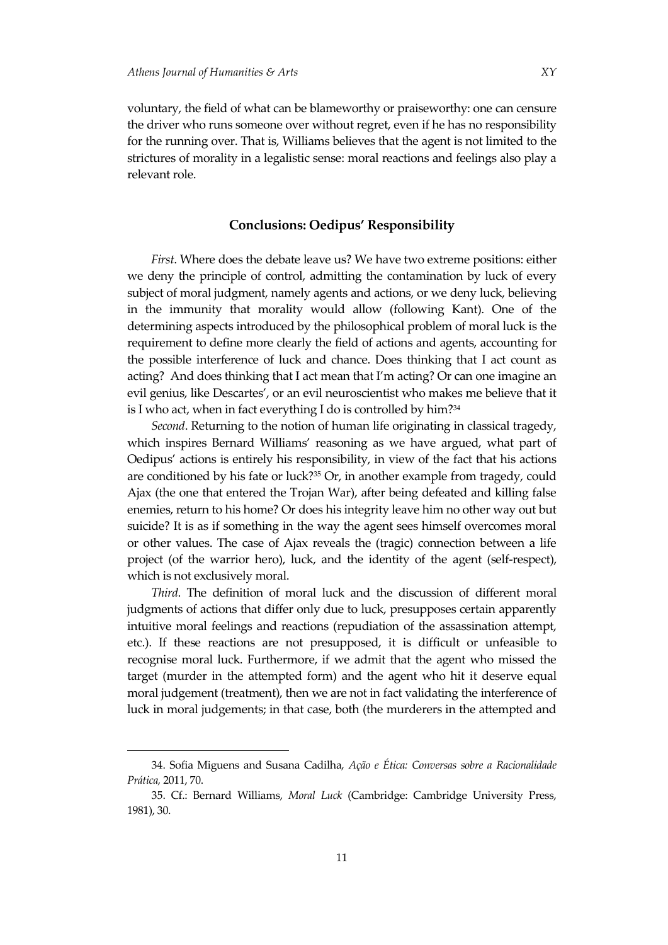voluntary, the field of what can be blameworthy or praiseworthy: one can censure the driver who runs someone over without regret, even if he has no responsibility for the running over. That is, Williams believes that the agent is not limited to the strictures of morality in a legalistic sense: moral reactions and feelings also play a relevant role.

#### **Conclusions: Oedipus' Responsibility**

*First*. Where does the debate leave us? We have two extreme positions: either we deny the principle of control, admitting the contamination by luck of every subject of moral judgment, namely agents and actions, or we deny luck, believing in the immunity that morality would allow (following Kant). One of the determining aspects introduced by the philosophical problem of moral luck is the requirement to define more clearly the field of actions and agents, accounting for the possible interference of luck and chance. Does thinking that I act count as acting? And does thinking that I act mean that I'm acting? Or can one imagine an evil genius, like Descartes', or an evil neuroscientist who makes me believe that it is I who act, when in fact everything I do is controlled by him?<sup>34</sup>

*Second*. Returning to the notion of human life originating in classical tragedy, which inspires Bernard Williams' reasoning as we have argued, what part of Oedipus' actions is entirely his responsibility, in view of the fact that his actions are conditioned by his fate or luck?<sup>35</sup> Or, in another example from tragedy, could Ajax (the one that entered the Trojan War), after being defeated and killing false enemies, return to his home? Or does his integrity leave him no other way out but suicide? It is as if something in the way the agent sees himself overcomes moral or other values. The case of Ajax reveals the (tragic) connection between a life project (of the warrior hero), luck, and the identity of the agent (self-respect), which is not exclusively moral.

*Third*. The definition of moral luck and the discussion of different moral judgments of actions that differ only due to luck, presupposes certain apparently intuitive moral feelings and reactions (repudiation of the assassination attempt, etc.). If these reactions are not presupposed, it is difficult or unfeasible to recognise moral luck. Furthermore, if we admit that the agent who missed the target (murder in the attempted form) and the agent who hit it deserve equal moral judgement (treatment), then we are not in fact validating the interference of luck in moral judgements; in that case, both (the murderers in the attempted and

<sup>34.</sup> Sofia Miguens and Susana Cadilha, *Ação e Ética: Conversas sobre a Racionalidade Prática,* 2011, 70.

<sup>35.</sup> Cf.: Bernard Williams, *Moral Luck* (Cambridge: Cambridge University Press, 1981), 30.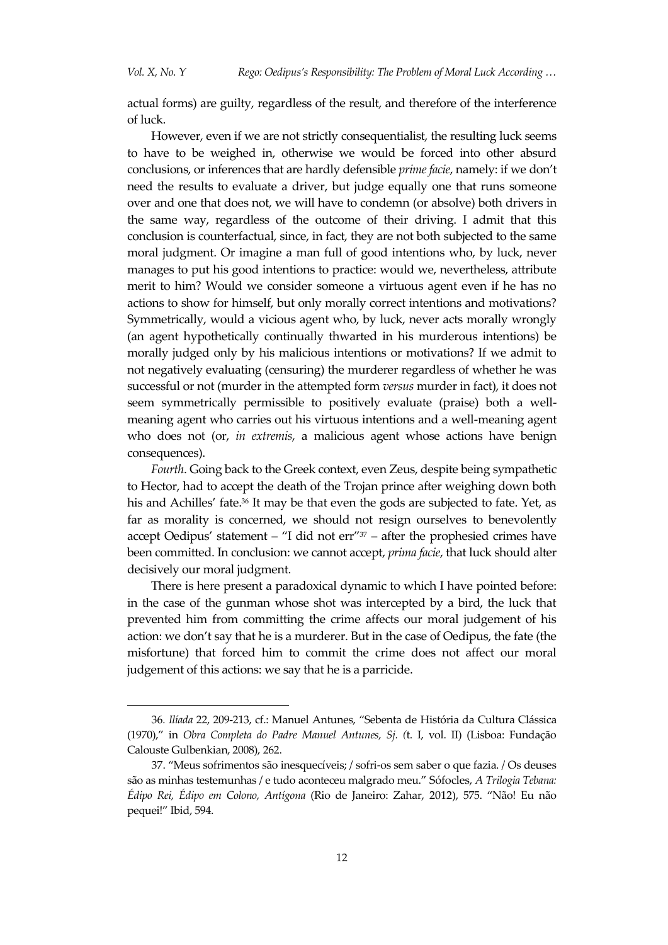$\overline{a}$ 

actual forms) are guilty, regardless of the result, and therefore of the interference of luck.

However, even if we are not strictly consequentialist, the resulting luck seems to have to be weighed in, otherwise we would be forced into other absurd conclusions, or inferences that are hardly defensible *prime facie*, namely: if we don't need the results to evaluate a driver, but judge equally one that runs someone over and one that does not, we will have to condemn (or absolve) both drivers in the same way, regardless of the outcome of their driving. I admit that this conclusion is counterfactual, since, in fact, they are not both subjected to the same moral judgment. Or imagine a man full of good intentions who, by luck, never manages to put his good intentions to practice: would we, nevertheless, attribute merit to him? Would we consider someone a virtuous agent even if he has no actions to show for himself, but only morally correct intentions and motivations? Symmetrically, would a vicious agent who, by luck, never acts morally wrongly (an agent hypothetically continually thwarted in his murderous intentions) be morally judged only by his malicious intentions or motivations? If we admit to not negatively evaluating (censuring) the murderer regardless of whether he was successful or not (murder in the attempted form *versus* murder in fact), it does not seem symmetrically permissible to positively evaluate (praise) both a wellmeaning agent who carries out his virtuous intentions and a well-meaning agent who does not (or, *in extremis*, a malicious agent whose actions have benign consequences).

*Fourth*. Going back to the Greek context, even Zeus, despite being sympathetic to Hector, had to accept the death of the Trojan prince after weighing down both his and Achilles' fate. <sup>36</sup> It may be that even the gods are subjected to fate. Yet, as far as morality is concerned, we should not resign ourselves to benevolently accept Oedipus' statement – "I did not err" $37$  – after the prophesied crimes have been committed. In conclusion: we cannot accept, *prima facie*, that luck should alter decisively our moral judgment.

There is here present a paradoxical dynamic to which I have pointed before: in the case of the gunman whose shot was intercepted by a bird, the luck that prevented him from committing the crime affects our moral judgement of his action: we don't say that he is a murderer. But in the case of Oedipus, the fate (the misfortune) that forced him to commit the crime does not affect our moral judgement of this actions: we say that he is a parricide.

<sup>36</sup>*. Ilíada* 22, 209-213, cf.: Manuel Antunes, "Sebenta de História da Cultura Clássica (1970)," in *Obra Completa do Padre Manuel Antunes, Sj. (*t. I, vol. II) (Lisboa: Fundação Calouste Gulbenkian, 2008), 262.

<sup>37.</sup> "Meus sofrimentos são inesquecíveis; / sofri-os sem saber o que fazia. / Os deuses são as minhas testemunhas / e tudo aconteceu malgrado meu." Sófocles, *A Trilogia Tebana: Édipo Rei, Édipo em Colono, Antígona* (Rio de Janeiro: Zahar, 2012), 575. "Não! Eu não pequei!" Ibid, 594.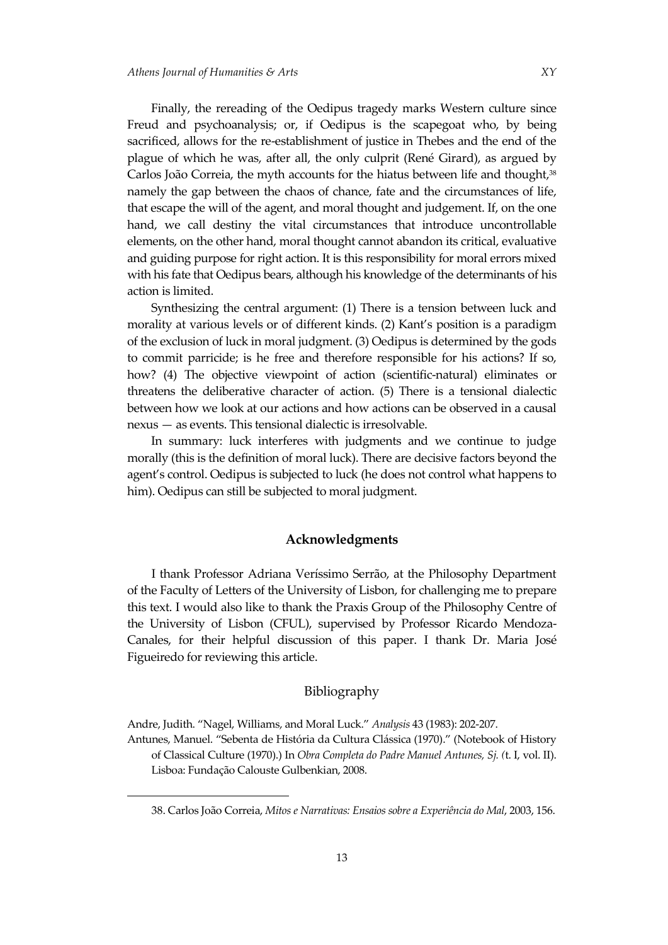Finally, the rereading of the Oedipus tragedy marks Western culture since Freud and psychoanalysis; or, if Oedipus is the scapegoat who, by being sacrificed, allows for the re-establishment of justice in Thebes and the end of the plague of which he was, after all, the only culprit (René Girard), as argued by Carlos João Correia, the myth accounts for the hiatus between life and thought, 38 namely the gap between the chaos of chance, fate and the circumstances of life, that escape the will of the agent, and moral thought and judgement. If, on the one hand, we call destiny the vital circumstances that introduce uncontrollable elements, on the other hand, moral thought cannot abandon its critical, evaluative and guiding purpose for right action. It is this responsibility for moral errors mixed with his fate that Oedipus bears, although his knowledge of the determinants of his action is limited.

Synthesizing the central argument: (1) There is a tension between luck and morality at various levels or of different kinds. (2) Kant's position is a paradigm of the exclusion of luck in moral judgment. (3) Oedipus is determined by the gods to commit parricide; is he free and therefore responsible for his actions? If so, how? (4) The objective viewpoint of action (scientific-natural) eliminates or threatens the deliberative character of action. (5) There is a tensional dialectic between how we look at our actions and how actions can be observed in a causal nexus — as events. This tensional dialectic is irresolvable.

In summary: luck interferes with judgments and we continue to judge morally (this is the definition of moral luck). There are decisive factors beyond the agent's control. Oedipus is subjected to luck (he does not control what happens to him). Oedipus can still be subjected to moral judgment.

### **Acknowledgments**

I thank Professor Adriana Veríssimo Serrão, at the Philosophy Department of the Faculty of Letters of the University of Lisbon, for challenging me to prepare this text. I would also like to thank the Praxis Group of the Philosophy Centre of the University of Lisbon (CFUL), supervised by Professor Ricardo Mendoza-Canales, for their helpful discussion of this paper. I thank Dr. Maria José Figueiredo for reviewing this article.

# Bibliography

Andre, Judith. "Nagel, Williams, and Moral Luck." *Analysis* 43 (1983): 202-207.

 $\overline{a}$ 

Antunes, Manuel. "Sebenta de História da Cultura Clássica (1970)." (Notebook of History of Classical Culture (1970).) In *Obra Completa do Padre Manuel Antunes, Sj. (*t. I, vol. II). Lisboa: Fundação Calouste Gulbenkian, 2008.

<sup>38.</sup> Carlos João Correia, *Mitos e Narrativas: Ensaios sobre a Experiência do Mal*, 2003, 156.